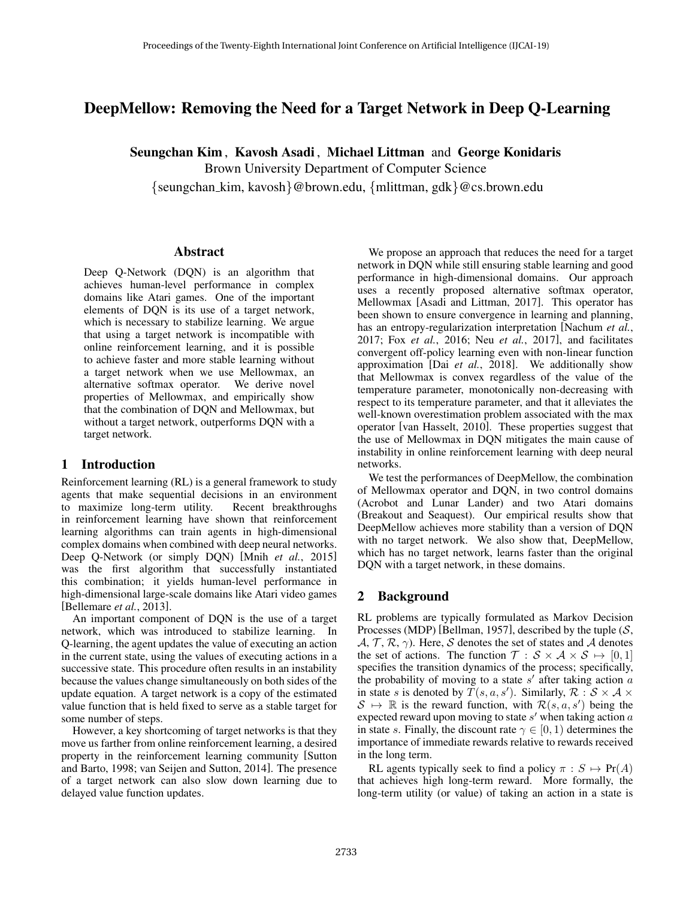# DeepMellow: Removing the Need for a Target Network in Deep Q-Learning

Seungchan Kim , Kavosh Asadi , Michael Littman and George Konidaris

Brown University Department of Computer Science

{seungchan kim, kavosh}@brown.edu, {mlittman, gdk}@cs.brown.edu

### Abstract

Deep Q-Network (DQN) is an algorithm that achieves human-level performance in complex domains like Atari games. One of the important elements of DQN is its use of a target network, which is necessary to stabilize learning. We argue that using a target network is incompatible with online reinforcement learning, and it is possible to achieve faster and more stable learning without a target network when we use Mellowmax, an alternative softmax operator. We derive novel properties of Mellowmax, and empirically show that the combination of DQN and Mellowmax, but without a target network, outperforms DQN with a target network.

## 1 Introduction

Reinforcement learning (RL) is a general framework to study agents that make sequential decisions in an environment to maximize long-term utility. Recent breakthroughs in reinforcement learning have shown that reinforcement learning algorithms can train agents in high-dimensional complex domains when combined with deep neural networks. Deep Q-Network (or simply DQN) [Mnih *et al.*, 2015] was the first algorithm that successfully instantiated this combination; it yields human-level performance in high-dimensional large-scale domains like Atari video games [Bellemare *et al.*, 2013].

An important component of DQN is the use of a target network, which was introduced to stabilize learning. In Q-learning, the agent updates the value of executing an action in the current state, using the values of executing actions in a successive state. This procedure often results in an instability because the values change simultaneously on both sides of the update equation. A target network is a copy of the estimated value function that is held fixed to serve as a stable target for some number of steps.

However, a key shortcoming of target networks is that they move us farther from online reinforcement learning, a desired property in the reinforcement learning community [Sutton and Barto, 1998; van Seijen and Sutton, 2014]. The presence of a target network can also slow down learning due to delayed value function updates.

We propose an approach that reduces the need for a target network in DQN while still ensuring stable learning and good performance in high-dimensional domains. Our approach uses a recently proposed alternative softmax operator, Mellowmax [Asadi and Littman, 2017]. This operator has been shown to ensure convergence in learning and planning, has an entropy-regularization interpretation [Nachum *et al.*, 2017; Fox *et al.*, 2016; Neu *et al.*, 2017], and facilitates convergent off-policy learning even with non-linear function approximation [Dai *et al.*, 2018]. We additionally show that Mellowmax is convex regardless of the value of the temperature parameter, monotonically non-decreasing with respect to its temperature parameter, and that it alleviates the well-known overestimation problem associated with the max operator [van Hasselt, 2010]. These properties suggest that the use of Mellowmax in DQN mitigates the main cause of instability in online reinforcement learning with deep neural networks.

We test the performances of DeepMellow, the combination of Mellowmax operator and DQN, in two control domains (Acrobot and Lunar Lander) and two Atari domains (Breakout and Seaquest). Our empirical results show that DeepMellow achieves more stability than a version of DQN with no target network. We also show that, DeepMellow, which has no target network, learns faster than the original DQN with a target network, in these domains.

# 2 Background

RL problems are typically formulated as Markov Decision Processes (MDP) [Bellman, 1957], described by the tuple  $(S,$  $A, T, R, \gamma$ . Here, S denotes the set of states and A denotes the set of actions. The function  $\mathcal{T}: \mathcal{S} \times \mathcal{A} \times \mathcal{S} \mapsto [0, 1]$ specifies the transition dynamics of the process; specifically, the probability of moving to a state  $s'$  after taking action  $a$ in state s is denoted by  $\overline{T}(s, a, s')$ . Similarly,  $\mathcal{R}: \mathcal{S} \times \mathcal{A} \times$  $S \mapsto \mathbb{R}$  is the reward function, with  $\mathcal{R}(s, a, s')$  being the expected reward upon moving to state  $s'$  when taking action  $a$ in state s. Finally, the discount rate  $\gamma \in [0, 1)$  determines the importance of immediate rewards relative to rewards received in the long term.

RL agents typically seek to find a policy  $\pi : S \mapsto Pr(A)$ that achieves high long-term reward. More formally, the long-term utility (or value) of taking an action in a state is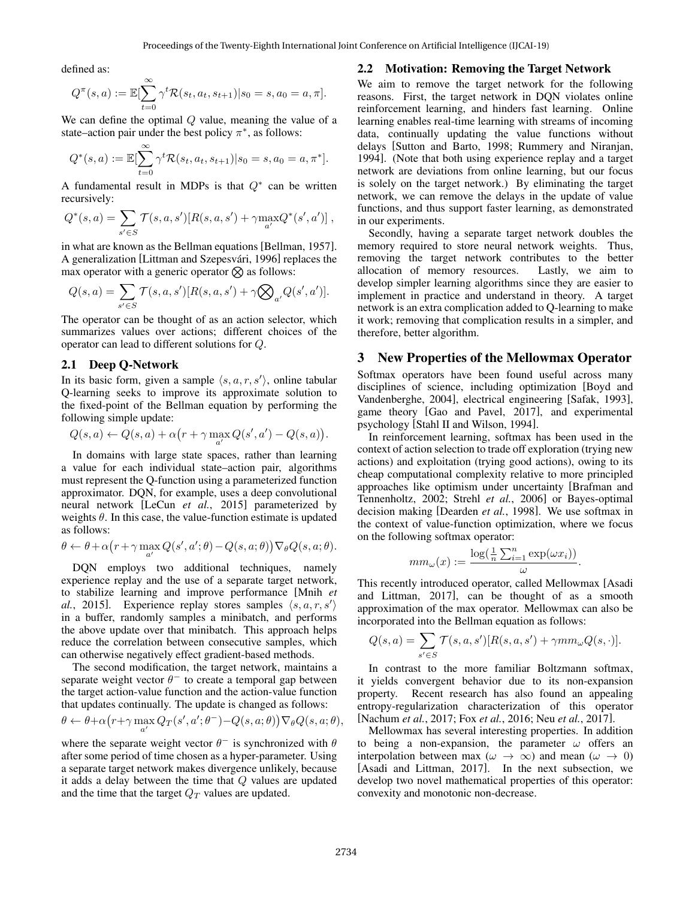defined as:

$$
Q^{\pi}(s, a) := \mathbb{E}[\sum_{t=0}^{\infty} \gamma^t \mathcal{R}(s_t, a_t, s_{t+1}) | s_0 = s, a_0 = a, \pi].
$$

We can define the optimal Q value, meaning the value of a state–action pair under the best policy  $\pi^*$ , as follows:

$$
Q^*(s, a) := \mathbb{E}[\sum_{t=0}^{\infty} \gamma^t \mathcal{R}(s_t, a_t, s_{t+1}) | s_0 = s, a_0 = a, \pi^*].
$$

A fundamental result in MDPs is that  $Q^*$  can be written recursively:

$$
Q^*(s, a) = \sum_{s' \in S} \mathcal{T}(s, a, s') [R(s, a, s') + \gamma \max_{a'} Q^*(s', a')],
$$

in what are known as the Bellman equations [Bellman, 1957]. A generalization [Littman and Szepesvári, 1996] replaces the max operator with a generic operator  $\otimes$  as follows:

$$
Q(s, a) = \sum_{s' \in S} \mathcal{T}(s, a, s') [R(s, a, s') + \gamma \bigotimes_{a'} Q(s', a')].
$$

The operator can be thought of as an action selector, which summarizes values over actions; different choices of the operator can lead to different solutions for Q.

#### 2.1 Deep Q-Network

In its basic form, given a sample  $\langle s, a, r, s' \rangle$ , online tabular Q-learning seeks to improve its approximate solution to the fixed-point of the Bellman equation by performing the following simple update:

$$
Q(s,a) \leftarrow Q(s,a) + \alpha \big(r + \gamma \max_{a'} Q(s',a') - Q(s,a) \big).
$$

In domains with large state spaces, rather than learning a value for each individual state–action pair, algorithms must represent the Q-function using a parameterized function approximator. DQN, for example, uses a deep convolutional neural network [LeCun *et al.*, 2015] parameterized by weights  $\theta$ . In this case, the value-function estimate is updated as follows:

$$
\theta \leftarrow \theta + \alpha (r + \gamma \max_{a'} Q(s', a'; \theta) - Q(s, a; \theta)) \nabla_{\theta} Q(s, a; \theta).
$$

DQN employs two additional techniques, namely experience replay and the use of a separate target network, to stabilize learning and improve performance [Mnih *et* al., 2015]. Experience replay stores samples  $\langle s, a, r, s' \rangle$ in a buffer, randomly samples a minibatch, and performs the above update over that minibatch. This approach helps reduce the correlation between consecutive samples, which can otherwise negatively effect gradient-based methods.

The second modification, the target network, maintains a separate weight vector  $\theta^-$  to create a temporal gap between the target action-value function and the action-value function that updates continually. The update is changed as follows:

$$
\theta \leftarrow \theta + \alpha (r + \gamma \max_{a'} Q_T(s', a'; \theta^{-}) - Q(s, a; \theta)) \nabla_{\theta} Q(s, a; \theta),
$$

where the separate weight vector  $\theta^-$  is synchronized with  $\theta$ after some period of time chosen as a hyper-parameter. Using a separate target network makes divergence unlikely, because it adds a delay between the time that Q values are updated and the time that the target  $Q_T$  values are updated.

### 2.2 Motivation: Removing the Target Network

We aim to remove the target network for the following reasons. First, the target network in DQN violates online reinforcement learning, and hinders fast learning. Online learning enables real-time learning with streams of incoming data, continually updating the value functions without delays [Sutton and Barto, 1998; Rummery and Niranjan, 1994]. (Note that both using experience replay and a target network are deviations from online learning, but our focus is solely on the target network.) By eliminating the target network, we can remove the delays in the update of value functions, and thus support faster learning, as demonstrated in our experiments.

Secondly, having a separate target network doubles the memory required to store neural network weights. Thus, removing the target network contributes to the better allocation of memory resources. Lastly, we aim to develop simpler learning algorithms since they are easier to implement in practice and understand in theory. A target network is an extra complication added to Q-learning to make it work; removing that complication results in a simpler, and therefore, better algorithm.

### 3 New Properties of the Mellowmax Operator

Softmax operators have been found useful across many disciplines of science, including optimization [Boyd and Vandenberghe, 2004], electrical engineering [Safak, 1993], game theory [Gao and Pavel, 2017], and experimental psychology [Stahl II and Wilson, 1994].

In reinforcement learning, softmax has been used in the context of action selection to trade off exploration (trying new actions) and exploitation (trying good actions), owing to its cheap computational complexity relative to more principled approaches like optimism under uncertainty [Brafman and Tennenholtz, 2002; Strehl *et al.*, 2006] or Bayes-optimal decision making [Dearden *et al.*, 1998]. We use softmax in the context of value-function optimization, where we focus on the following softmax operator:

$$
mm_{\omega}(x) := \frac{\log(\frac{1}{n}\sum_{i=1}^{n}\exp(\omega x_i))}{\omega}
$$

.

This recently introduced operator, called Mellowmax [Asadi and Littman, 2017], can be thought of as a smooth approximation of the max operator. Mellowmax can also be incorporated into the Bellman equation as follows:

$$
Q(s, a) = \sum_{s' \in S} \mathcal{T}(s, a, s') [R(s, a, s') + \gamma m m_{\omega} Q(s, \cdot)].
$$

In contrast to the more familiar Boltzmann softmax, it yields convergent behavior due to its non-expansion property. Recent research has also found an appealing entropy-regularization characterization of this operator [Nachum *et al.*, 2017; Fox *et al.*, 2016; Neu *et al.*, 2017].

Mellowmax has several interesting properties. In addition to being a non-expansion, the parameter  $\omega$  offers an interpolation between max ( $\omega \to \infty$ ) and mean ( $\omega \to 0$ ) [Asadi and Littman, 2017]. In the next subsection, we develop two novel mathematical properties of this operator: convexity and monotonic non-decrease.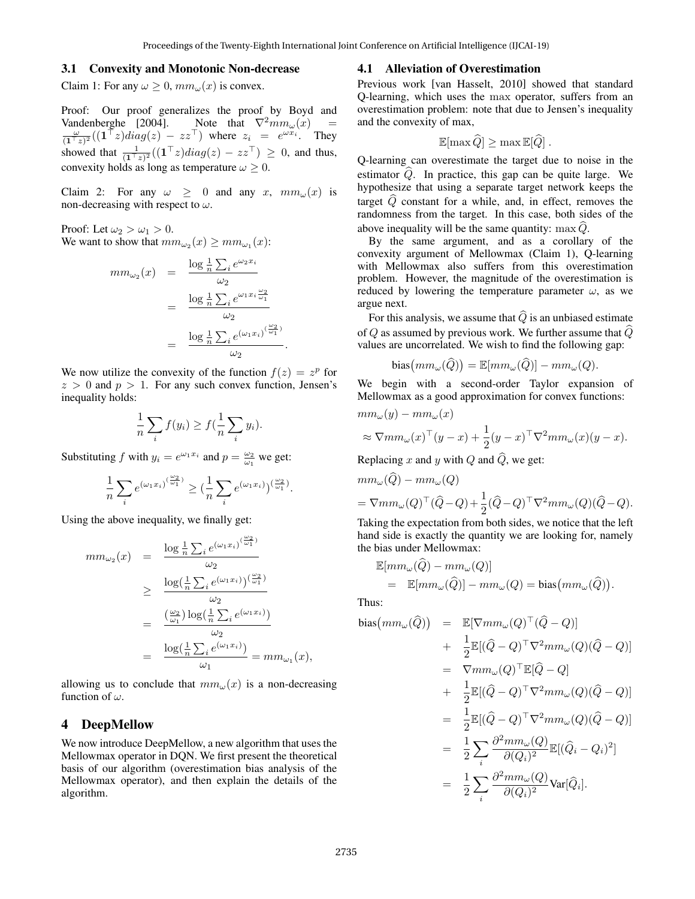#### 3.1 Convexity and Monotonic Non-decrease

Claim 1: For any  $\omega \geq 0$ ,  $mm_{\omega}(x)$  is convex.

Proof: Our proof generalizes the proof by Boyd and Vandenberghe [2004]. Note that  $\nabla^2 m m_\omega(x)$  =  $\frac{\omega}{(1^{\top}z)^2}((1^{\top}z)diag(z) - zz^{\top})$  where  $z_i = e^{\omega x_i}$ . They showed that  $\frac{1}{(1^{\top}z)^2}((1^{\top}z)diag(z) - zz^{\top}) \geq 0$ , and thus, convexity holds as long as temperature  $\omega \geq 0$ .

Claim 2: For any  $\omega \geq 0$  and any x,  $mm_{\omega}(x)$  is non-decreasing with respect to  $\omega$ .

Proof: Let  $\omega_2 > \omega_1 > 0$ . We want to show that  $mm_{\omega_2}(x) \geq mm_{\omega_1}(x)$ :

$$
mm_{\omega_2}(x) = \frac{\log \frac{1}{n} \sum_i e^{\omega_2 x_i}}{\omega_2}
$$
  
= 
$$
\frac{\log \frac{1}{n} \sum_i e^{\omega_1 x_i \frac{\omega_2}{\omega_1}}}{\omega_2}
$$
  
= 
$$
\frac{\log \frac{1}{n} \sum_i e^{(\omega_1 x_i)^{(\frac{\omega_2}{\omega_1})}}}{\omega_2}.
$$

We now utilize the convexity of the function  $f(z) = z^p$  for  $z > 0$  and  $p > 1$ . For any such convex function, Jensen's inequality holds:

$$
\frac{1}{n}\sum_{i}f(y_i) \ge f(\frac{1}{n}\sum_{i}y_i).
$$

Substituting f with  $y_i = e^{\omega_1 x_i}$  and  $p = \frac{\omega_2}{\omega_1}$  we get:

$$
\frac{1}{n}\sum_i e^{(\omega_1 x_i)^{(\frac{\omega_2}{\omega_1})}} \geq \big(\frac{1}{n}\sum_i e^{(\omega_1 x_i)}\big)^{(\frac{\omega_2}{\omega_1})}
$$

.

Using the above inequality, we finally get:

$$
mm_{\omega_2}(x) = \frac{\log \frac{1}{n} \sum_i e^{(\omega_1 x_i)^{(\frac{\omega_2}{\omega_1})}}}{\omega_2}
$$
  
\n
$$
\geq \frac{\log(\frac{1}{n} \sum_i e^{(\omega_1 x_i)})^{(\frac{\omega_2}{\omega_1})}}{\omega_2}
$$
  
\n
$$
= \frac{\left(\frac{\omega_2}{\omega_1}\right) \log\left(\frac{1}{n} \sum_i e^{(\omega_1 x_i)}\right)}{\omega_2}
$$
  
\n
$$
= \frac{\log(\frac{1}{n} \sum_i e^{(\omega_1 x_i)})}{\omega_1} = mm_{\omega_1}(x),
$$

allowing us to conclude that  $mm_{\omega}(x)$  is a non-decreasing function of  $\omega$ .

### 4 DeepMellow

We now introduce DeepMellow, a new algorithm that uses the Mellowmax operator in DQN. We first present the theoretical basis of our algorithm (overestimation bias analysis of the Mellowmax operator), and then explain the details of the algorithm.

### 4.1 Alleviation of Overestimation

Previous work [van Hasselt, 2010] showed that standard Q-learning, which uses the max operator, suffers from an overestimation problem: note that due to Jensen's inequality and the convexity of max,

$$
\mathbb{E}[\max \widehat{Q}] \geq \max \mathbb{E}[\widehat{Q}].
$$

Q-learning can overestimate the target due to noise in the estimator  $\ddot{Q}$ . In practice, this gap can be quite large. We hypothesize that using a separate target network keeps the target  $\widehat{Q}$  constant for a while, and, in effect, removes the randomness from the target. In this case, both sides of the above inequality will be the same quantity: max  $\ddot{Q}$ .

By the same argument, and as a corollary of the convexity argument of Mellowmax (Claim 1), Q-learning with Mellowmax also suffers from this overestimation problem. However, the magnitude of the overestimation is reduced by lowering the temperature parameter  $\omega$ , as we argue next.

For this analysis, we assume that  $\widehat{Q}$  is an unbiased estimate of Q as assumed by previous work. We further assume that  $\widehat{Q}$ values are uncorrelated. We wish to find the following gap:

bias
$$
(mm_{\omega}(\widehat{Q})) = \mathbb{E}[mm_{\omega}(\widehat{Q})] - mm_{\omega}(Q).
$$

We begin with a second-order Taylor expansion of Mellowmax as a good approximation for convex functions:

$$
mm_{\omega}(y) - mm_{\omega}(x)
$$
  
\n
$$
\approx \nabla mm_{\omega}(x)^{\top}(y-x) + \frac{1}{2}(y-x)^{\top}\nabla^{2}mm_{\omega}(x)(y-x).
$$

Replacing  $x$  and  $y$  with  $Q$  and  $Q$ , we get:

$$
mm_{\omega}(Q) - mm_{\omega}(Q)
$$
  
=  $\nabla mm_{\omega}(Q)^{\top}(\widehat{Q} - Q) + \frac{1}{2}(\widehat{Q} - Q)^{\top}\nabla^{2}mm_{\omega}(Q)(\widehat{Q} - Q).$ 

Taking the expectation from both sides, we notice that the left hand side is exactly the quantity we are looking for, namely the bias under Mellowmax:

$$
\mathbb{E}[mm_{\omega}(\widehat{Q}) - mm_{\omega}(Q)]
$$
  
= 
$$
\mathbb{E}[mm_{\omega}(\widehat{Q})] - mm_{\omega}(Q) = bias\{mm_{\omega}(\widehat{Q})\}.
$$

Thus:

bias
$$
\begin{array}{rcl}\n\text{bias}(mm_{\omega}(\widehat{Q})) & = & \mathbb{E}[\nabla mm_{\omega}(Q)^{\top}(\widehat{Q}-Q)] \\
& + & \frac{1}{2}\mathbb{E}[(\widehat{Q}-Q)^{\top}\nabla^{2}mm_{\omega}(Q)(\widehat{Q}-Q)] \\
& = & \nabla mm_{\omega}(Q)^{\top}\mathbb{E}[\widehat{Q}-Q] \\
& + & \frac{1}{2}\mathbb{E}[(\widehat{Q}-Q)^{\top}\nabla^{2}mm_{\omega}(Q)(\widehat{Q}-Q)] \\
& = & \frac{1}{2}\mathbb{E}[(\widehat{Q}-Q)^{\top}\nabla^{2}mm_{\omega}(Q)(\widehat{Q}-Q)] \\
& = & \frac{1}{2}\sum_{i}\frac{\partial^{2}mm_{\omega}(Q)}{\partial(Q_{i})^{2}}\mathbb{E}[(\widehat{Q}_{i}-Q_{i})^{2}] \\
& = & \frac{1}{2}\sum_{i}\frac{\partial^{2}mm_{\omega}(Q)}{\partial(Q_{i})^{2}}\text{Var}[\widehat{Q}_{i}].\n\end{array}
$$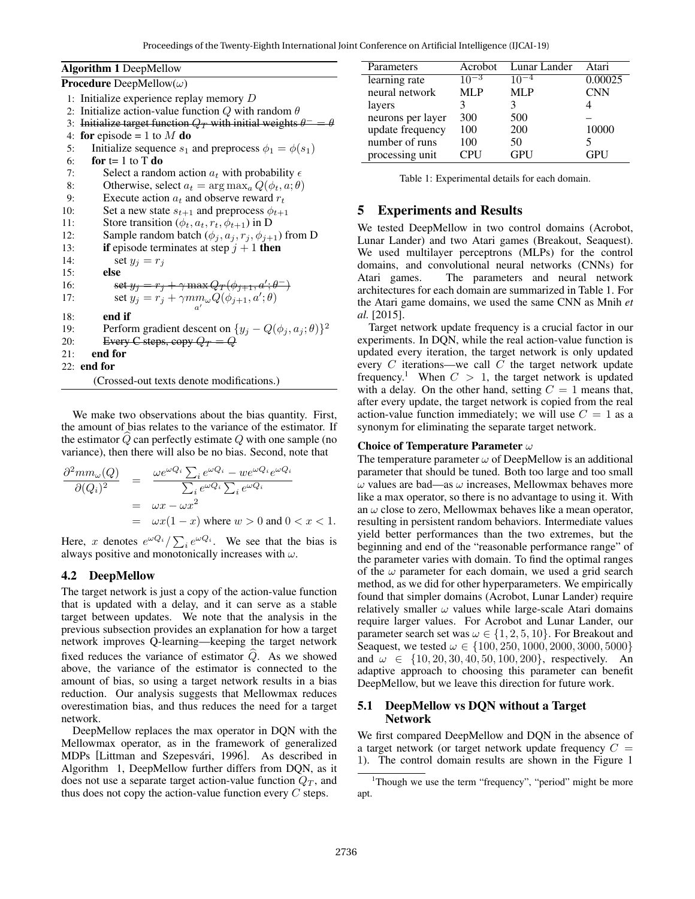| <b>Algorithm 1 DeepMellow</b>                                                   |  |  |  |
|---------------------------------------------------------------------------------|--|--|--|
| <b>Procedure</b> DeepMellow( $\omega$ )                                         |  |  |  |
| 1: Initialize experience replay memory $D$                                      |  |  |  |
| 2: Initialize action-value function Q with random $\theta$                      |  |  |  |
| Initialize target function $Q_T$ with initial weights $\theta^- = \theta$<br>3: |  |  |  |
| for episode = 1 to $M$ do<br>4:                                                 |  |  |  |
| Initialize sequence $s_1$ and preprocess $\phi_1 = \phi(s_1)$<br>5:             |  |  |  |
| for $t=1$ to T do<br>6:                                                         |  |  |  |
| Select a random action $a_t$ with probability $\epsilon$<br>7:                  |  |  |  |
| Otherwise, select $a_t = \arg \max_a Q(\phi_t, a; \theta)$<br>8:                |  |  |  |
| Execute action $a_t$ and observe reward $r_t$<br>9:                             |  |  |  |
| Set a new state $s_{t+1}$ and preprocess $\phi_{t+1}$<br>10:                    |  |  |  |
| Store transition $(\phi_t, a_t, r_t, \phi_{t+1})$ in D<br>11:                   |  |  |  |
| Sample random batch $(\phi_j, a_j, r_j, \phi_{j+1})$ from D<br>12:              |  |  |  |
| if episode terminates at step $j + 1$ then<br>13:                               |  |  |  |
| 14:<br>set $y_i = r_i$                                                          |  |  |  |
| else<br>15:                                                                     |  |  |  |
| set $y_i = r_i + \gamma \max Q_T(\phi_{i+1}, a'; \theta^{-})$<br>16:            |  |  |  |
| set $y_j = r_j + \gamma m m_\omega Q(\phi_{j+1}, a'; \theta)$<br>17:            |  |  |  |
| end if<br>18:                                                                   |  |  |  |
| Perform gradient descent on $\{y_j - Q(\phi_j, a_j; \theta)\}^2$<br>19:         |  |  |  |
| Every C steps, copy $Q_T = Q$<br>20:                                            |  |  |  |
| end for<br>21:                                                                  |  |  |  |
| $22:$ end for                                                                   |  |  |  |
| (Crossed-out texts denote modifications.)                                       |  |  |  |

We make two observations about the bias quantity. First, the amount of bias relates to the variance of the estimator. If the estimator  $Q$  can perfectly estimate  $Q$  with one sample (no variance), then there will also be no bias. Second, note that

$$
\frac{\partial^2 m m_{\omega}(Q)}{\partial(Q_i)^2} = \frac{\omega e^{\omega Q_i} \sum_i e^{\omega Q_i} - w e^{\omega Q_i} e^{\omega Q_i}}{\sum_i e^{\omega Q_i} \sum_i e^{\omega Q_i}}
$$
  
=  $\omega x - \omega x^2$   
=  $\omega x (1 - x)$  where  $w > 0$  and  $0 < x < 1$ .

Here, x denotes  $e^{\omega Q_i}/\sum_i e^{\omega Q_i}$ . We see that the bias is always positive and monotonically increases with  $\omega$ .

### 4.2 DeepMellow

The target network is just a copy of the action-value function that is updated with a delay, and it can serve as a stable target between updates. We note that the analysis in the previous subsection provides an explanation for how a target network improves Q-learning—keeping the target network fixed reduces the variance of estimator  $\widehat{Q}$ . As we showed above, the variance of the estimator is connected to the amount of bias, so using a target network results in a bias reduction. Our analysis suggests that Mellowmax reduces overestimation bias, and thus reduces the need for a target network.

DeepMellow replaces the max operator in DQN with the Mellowmax operator, as in the framework of generalized MDPs [Littman and Szepesvári, 1996]. As described in Algorithm 1, DeepMellow further differs from DQN, as it does not use a separate target action-value function  $Q_T$ , and thus does not copy the action-value function every  $C$  steps.

| Parameters        | Acrobot    | Lunar Lander | Atari      |
|-------------------|------------|--------------|------------|
| learning rate     | $10^{-3}$  | 10           | 0.00025    |
| neural network    | <b>MLP</b> | <b>MLP</b>   | <b>CNN</b> |
| layers            |            |              |            |
| neurons per layer | 300        | 500          |            |
| update frequency  | 100        | 200          | 10000      |
| number of runs    | 100        | 50           |            |
| processing unit   | <b>CPU</b> | <b>GPU</b>   | <b>GPU</b> |

Table 1: Experimental details for each domain.

# 5 Experiments and Results

We tested DeepMellow in two control domains (Acrobot, Lunar Lander) and two Atari games (Breakout, Seaquest). We used multilayer perceptrons (MLPs) for the control domains, and convolutional neural networks (CNNs) for Atari games. The parameters and neural network architectures for each domain are summarized in Table 1. For the Atari game domains, we used the same CNN as Mnih *et al.* [2015].

Target network update frequency is a crucial factor in our experiments. In DQN, while the real action-value function is updated every iteration, the target network is only updated every  $C$  iterations—we call  $C$  the target network update frequency.<sup>1</sup> When  $C > 1$ , the target network is updated with a delay. On the other hand, setting  $C = 1$  means that, after every update, the target network is copied from the real action-value function immediately; we will use  $C = 1$  as a synonym for eliminating the separate target network.

#### Choice of Temperature Parameter  $\omega$

The temperature parameter  $\omega$  of DeepMellow is an additional parameter that should be tuned. Both too large and too small  $\omega$  values are bad—as  $\omega$  increases, Mellowmax behaves more like a max operator, so there is no advantage to using it. With an  $\omega$  close to zero, Mellowmax behaves like a mean operator, resulting in persistent random behaviors. Intermediate values yield better performances than the two extremes, but the beginning and end of the "reasonable performance range" of the parameter varies with domain. To find the optimal ranges of the  $\omega$  parameter for each domain, we used a grid search method, as we did for other hyperparameters. We empirically found that simpler domains (Acrobot, Lunar Lander) require relatively smaller  $\omega$  values while large-scale Atari domains require larger values. For Acrobot and Lunar Lander, our parameter search set was  $\omega \in \{1, 2, 5, 10\}$ . For Breakout and Seaquest, we tested  $\omega \in \{100, 250, 1000, 2000, 3000, 5000\}$ and  $\omega \in \{10, 20, 30, 40, 50, 100, 200\}$ , respectively. An adaptive approach to choosing this parameter can benefit DeepMellow, but we leave this direction for future work.

### 5.1 DeepMellow vs DQN without a Target Network

We first compared DeepMellow and DQN in the absence of a target network (or target network update frequency  $C =$ 1). The control domain results are shown in the Figure 1

<sup>&</sup>lt;sup>1</sup>Though we use the term "frequency", "period" might be more apt.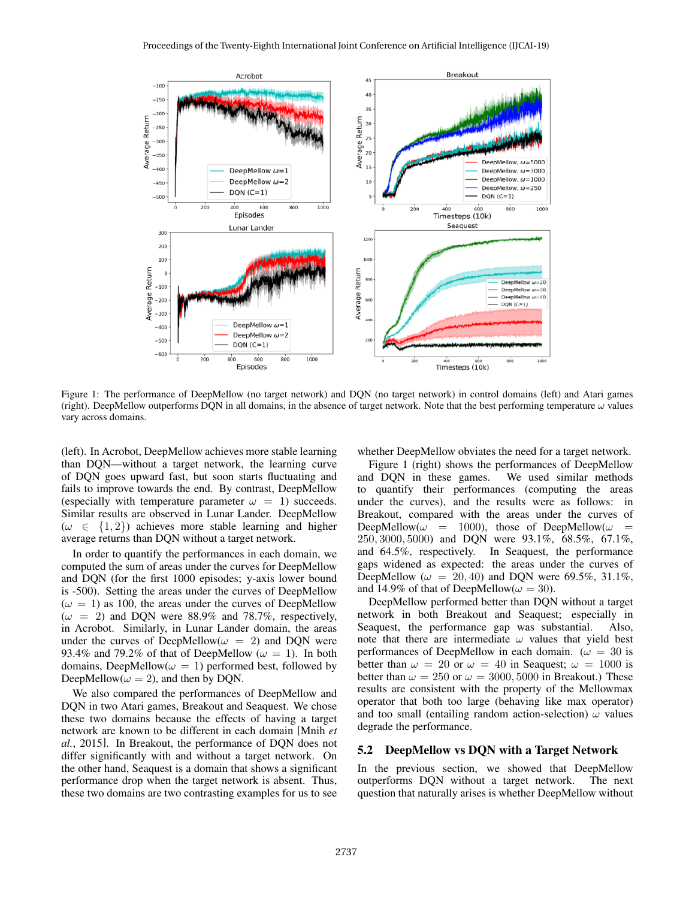

Figure 1: The performance of DeepMellow (no target network) and DQN (no target network) in control domains (left) and Atari games (right). DeepMellow outperforms DQN in all domains, in the absence of target network. Note that the best performing temperature  $\omega$  values vary across domains.

(left). In Acrobot, DeepMellow achieves more stable learning than DQN—without a target network, the learning curve of DQN goes upward fast, but soon starts fluctuating and fails to improve towards the end. By contrast, DeepMellow (especially with temperature parameter  $\omega = 1$ ) succeeds. Similar results are observed in Lunar Lander. DeepMellow  $(\omega \in \{1,2\})$  achieves more stable learning and higher average returns than DQN without a target network.

In order to quantify the performances in each domain, we computed the sum of areas under the curves for DeepMellow and DQN (for the first 1000 episodes; y-axis lower bound is -500). Setting the areas under the curves of DeepMellow  $(\omega = 1)$  as 100, the areas under the curves of DeepMellow  $(\omega = 2)$  and DQN were 88.9% and 78.7%, respectively, in Acrobot. Similarly, in Lunar Lander domain, the areas under the curves of DeepMellow( $\omega = 2$ ) and DQN were 93.4% and 79.2% of that of DeepMellow ( $\omega = 1$ ). In both domains, DeepMellow( $\omega = 1$ ) performed best, followed by DeepMellow( $\omega = 2$ ), and then by DQN.

We also compared the performances of DeepMellow and DQN in two Atari games, Breakout and Seaquest. We chose these two domains because the effects of having a target network are known to be different in each domain [Mnih *et al.*, 2015]. In Breakout, the performance of DQN does not differ significantly with and without a target network. On the other hand, Seaquest is a domain that shows a significant performance drop when the target network is absent. Thus, these two domains are two contrasting examples for us to see whether DeepMellow obviates the need for a target network.

Figure 1 (right) shows the performances of DeepMellow and DQN in these games. We used similar methods to quantify their performances (computing the areas under the curves), and the results were as follows: in Breakout, compared with the areas under the curves of DeepMellow( $\omega$  = 1000), those of DeepMellow( $\omega$  = 250, 3000, 5000) and DQN were 93.1%, 68.5%, 67.1%, and 64.5%, respectively. In Seaquest, the performance gaps widened as expected: the areas under the curves of DeepMellow ( $\omega = 20, 40$ ) and DQN were 69.5%, 31.1%, and 14.9% of that of DeepMellow( $\omega = 30$ ).

DeepMellow performed better than DQN without a target network in both Breakout and Seaquest; especially in Seaquest, the performance gap was substantial. Also, note that there are intermediate  $\omega$  values that yield best performances of DeepMellow in each domain. ( $\omega = 30$  is better than  $\omega = 20$  or  $\omega = 40$  in Seaguest;  $\omega = 1000$  is better than  $\omega = 250$  or  $\omega = 3000, 5000$  in Breakout.) These results are consistent with the property of the Mellowmax operator that both too large (behaving like max operator) and too small (entailing random action-selection)  $\omega$  values degrade the performance.

#### 5.2 DeepMellow vs DQN with a Target Network

In the previous section, we showed that DeepMellow outperforms DQN without a target network. The next question that naturally arises is whether DeepMellow without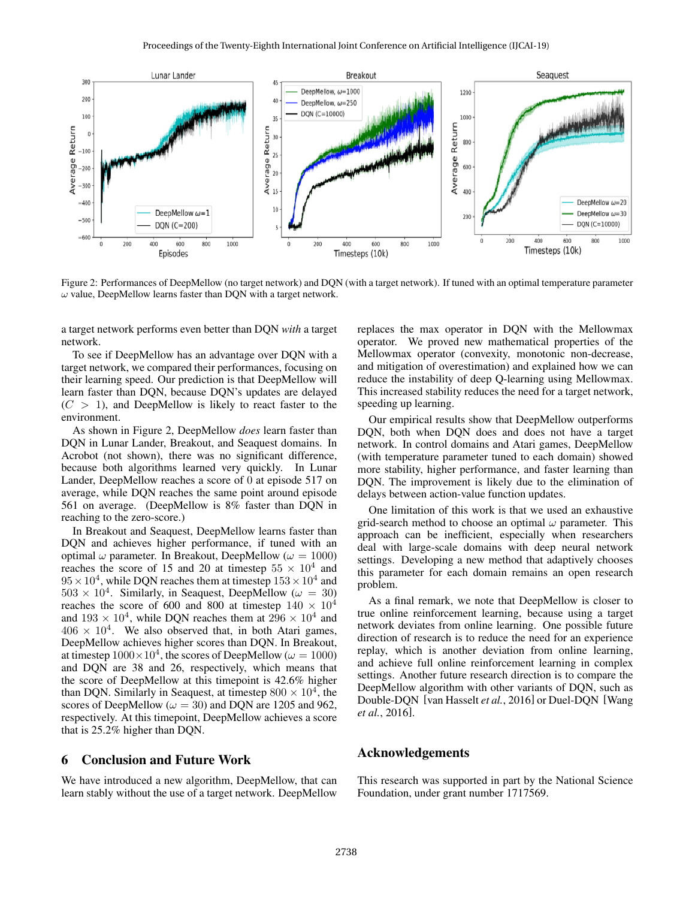

Figure 2: Performances of DeepMellow (no target network) and DQN (with a target network). If tuned with an optimal temperature parameter  $\omega$  value, DeepMellow learns faster than DQN with a target network.

a target network performs even better than DQN *with* a target network.

To see if DeepMellow has an advantage over DQN with a target network, we compared their performances, focusing on their learning speed. Our prediction is that DeepMellow will learn faster than DQN, because DQN's updates are delayed  $(C > 1)$ , and DeepMellow is likely to react faster to the environment.

As shown in Figure 2, DeepMellow *does* learn faster than DQN in Lunar Lander, Breakout, and Seaquest domains. In Acrobot (not shown), there was no significant difference, because both algorithms learned very quickly. In Lunar Lander, DeepMellow reaches a score of 0 at episode 517 on average, while DQN reaches the same point around episode 561 on average. (DeepMellow is 8% faster than DQN in reaching to the zero-score.)

In Breakout and Seaquest, DeepMellow learns faster than DQN and achieves higher performance, if tuned with an optimal  $\omega$  parameter. In Breakout, DeepMellow ( $\omega = 1000$ ) reaches the score of 15 and 20 at timestep  $55 \times 10^4$  and  $95 \times 10^4$ , while DQN reaches them at timestep  $153 \times 10^4$  and  $503 \times 10^4$ . Similarly, in Seaquest, DeepMellow ( $\omega = 30$ ) reaches the score of 600 and 800 at timestep  $140 \times 10^4$ and  $193 \times 10^4$ , while DQN reaches them at  $296 \times 10^4$  and  $406 \times 10^4$ . We also observed that, in both Atari games, DeepMellow achieves higher scores than DQN. In Breakout, at timestep  $1000 \times 10^4$ , the scores of DeepMellow ( $\omega = 1000$ ) and DQN are 38 and 26, respectively, which means that the score of DeepMellow at this timepoint is 42.6% higher than DQN. Similarly in Seaquest, at timestep  $800 \times 10^4$ , the scores of DeepMellow ( $\omega = 30$ ) and DQN are 1205 and 962, respectively. At this timepoint, DeepMellow achieves a score that is 25.2% higher than DQN.

#### 6 Conclusion and Future Work

We have introduced a new algorithm, DeepMellow, that can learn stably without the use of a target network. DeepMellow replaces the max operator in DQN with the Mellowmax operator. We proved new mathematical properties of the Mellowmax operator (convexity, monotonic non-decrease, and mitigation of overestimation) and explained how we can reduce the instability of deep Q-learning using Mellowmax. This increased stability reduces the need for a target network, speeding up learning.

Our empirical results show that DeepMellow outperforms DQN, both when DQN does and does not have a target network. In control domains and Atari games, DeepMellow (with temperature parameter tuned to each domain) showed more stability, higher performance, and faster learning than DQN. The improvement is likely due to the elimination of delays between action-value function updates.

One limitation of this work is that we used an exhaustive grid-search method to choose an optimal  $\omega$  parameter. This approach can be inefficient, especially when researchers deal with large-scale domains with deep neural network settings. Developing a new method that adaptively chooses this parameter for each domain remains an open research problem.

As a final remark, we note that DeepMellow is closer to true online reinforcement learning, because using a target network deviates from online learning. One possible future direction of research is to reduce the need for an experience replay, which is another deviation from online learning, and achieve full online reinforcement learning in complex settings. Another future research direction is to compare the DeepMellow algorithm with other variants of DQN, such as Double-DQN [van Hasselt *et al.*, 2016] or Duel-DQN [Wang *et al.*, 2016].

### Acknowledgements

This research was supported in part by the National Science Foundation, under grant number 1717569.